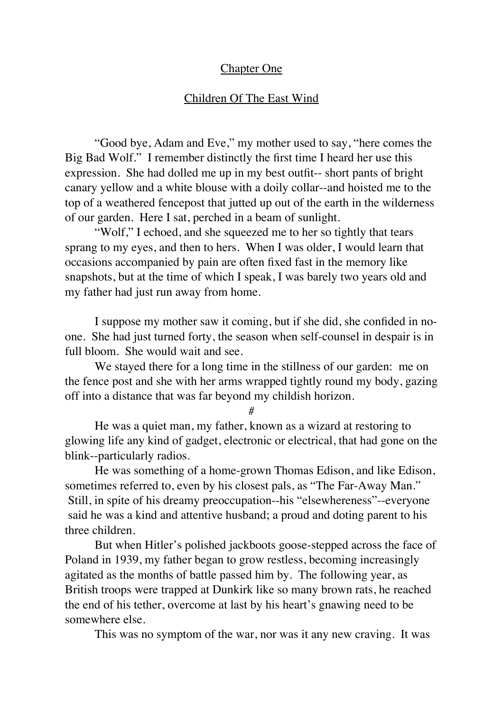## Chapter One

## Children Of The East Wind

"Good bye, Adam and Eve," my mother used to say, "here comes the Big Bad Wolf." I remember distinctly the first time I heard her use this expression. She had dolled me up in my best outfit-- short pants of bright canary yellow and a white blouse with a doily collar--and hoisted me to the top of a weathered fencepost that jutted up out of the earth in the wilderness of our garden. Here I sat, perched in a beam of sunlight.

"Wolf," I echoed, and she squeezed me to her so tightly that tears sprang to my eyes, and then to hers. When I was older, I would learn that occasions accompanied by pain are often fixed fast in the memory like snapshots, but at the time of which I speak, I was barely two years old and my father had just run away from home.

I suppose my mother saw it coming, but if she did, she confided in noone. She had just turned forty, the season when self-counsel in despair is in full bloom. She would wait and see.

We stayed there for a long time in the stillness of our garden: me on the fence post and she with her arms wrapped tightly round my body, gazing off into a distance that was far beyond my childish horizon.

#

He was a quiet man, my father, known as a wizard at restoring to glowing life any kind of gadget, electronic or electrical, that had gone on the blink--particularly radios.

He was something of a home-grown Thomas Edison, and like Edison, sometimes referred to, even by his closest pals, as "The Far-Away Man." Still, in spite of his dreamy preoccupation--his "elsewhereness"--everyone said he was a kind and attentive husband; a proud and doting parent to his three children.

But when Hitler's polished jackboots goose-stepped across the face of Poland in 1939, my father began to grow restless, becoming increasingly agitated as the months of battle passed him by. The following year, as British troops were trapped at Dunkirk like so many brown rats, he reached the end of his tether, overcome at last by his heart's gnawing need to be somewhere else.

This was no symptom of the war, nor was it any new craving. It was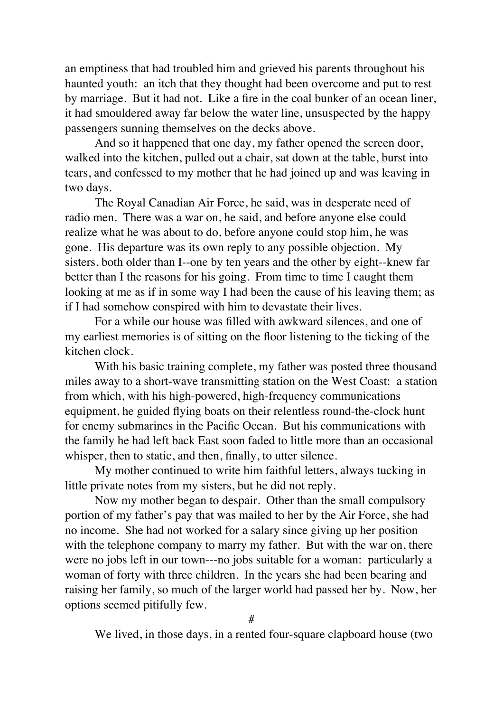an emptiness that had troubled him and grieved his parents throughout his haunted youth: an itch that they thought had been overcome and put to rest by marriage. But it had not. Like a fire in the coal bunker of an ocean liner, it had smouldered away far below the water line, unsuspected by the happy passengers sunning themselves on the decks above.

And so it happened that one day, my father opened the screen door, walked into the kitchen, pulled out a chair, sat down at the table, burst into tears, and confessed to my mother that he had joined up and was leaving in two days.

The Royal Canadian Air Force, he said, was in desperate need of radio men. There was a war on, he said, and before anyone else could realize what he was about to do, before anyone could stop him, he was gone. His departure was its own reply to any possible objection. My sisters, both older than I--one by ten years and the other by eight--knew far better than I the reasons for his going. From time to time I caught them looking at me as if in some way I had been the cause of his leaving them; as if I had somehow conspired with him to devastate their lives.

For a while our house was filled with awkward silences, and one of my earliest memories is of sitting on the floor listening to the ticking of the kitchen clock.

With his basic training complete, my father was posted three thousand miles away to a short-wave transmitting station on the West Coast: a station from which, with his high-powered, high-frequency communications equipment, he guided flying boats on their relentless round-the-clock hunt for enemy submarines in the Pacific Ocean. But his communications with the family he had left back East soon faded to little more than an occasional whisper, then to static, and then, finally, to utter silence.

My mother continued to write him faithful letters, always tucking in little private notes from my sisters, but he did not reply.

Now my mother began to despair. Other than the small compulsory portion of my father's pay that was mailed to her by the Air Force, she had no income. She had not worked for a salary since giving up her position with the telephone company to marry my father. But with the war on, there were no jobs left in our town---no jobs suitable for a woman: particularly a woman of forty with three children. In the years she had been bearing and raising her family, so much of the larger world had passed her by. Now, her options seemed pitifully few.

#

We lived, in those days, in a rented four-square clapboard house (two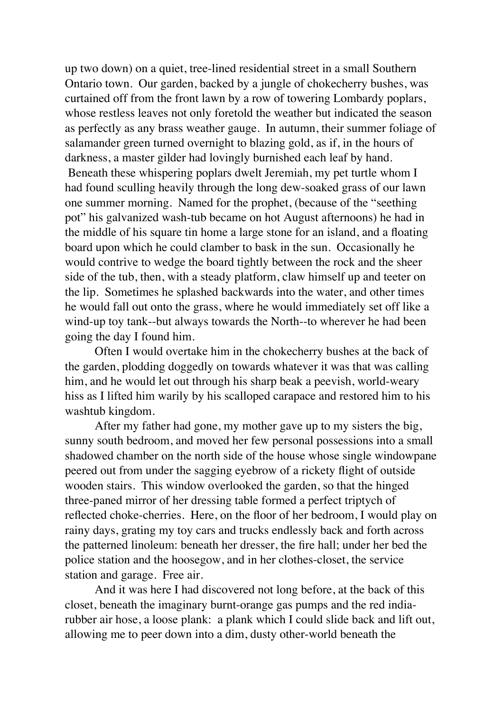up two down) on a quiet, tree-lined residential street in a small Southern Ontario town. Our garden, backed by a jungle of chokecherry bushes, was curtained off from the front lawn by a row of towering Lombardy poplars, whose restless leaves not only foretold the weather but indicated the season as perfectly as any brass weather gauge. In autumn, their summer foliage of salamander green turned overnight to blazing gold, as if, in the hours of darkness, a master gilder had lovingly burnished each leaf by hand. Beneath these whispering poplars dwelt Jeremiah, my pet turtle whom I had found sculling heavily through the long dew-soaked grass of our lawn one summer morning. Named for the prophet, (because of the "seething pot" his galvanized wash-tub became on hot August afternoons) he had in

the middle of his square tin home a large stone for an island, and a floating board upon which he could clamber to bask in the sun. Occasionally he would contrive to wedge the board tightly between the rock and the sheer side of the tub, then, with a steady platform, claw himself up and teeter on the lip. Sometimes he splashed backwards into the water, and other times he would fall out onto the grass, where he would immediately set off like a wind-up toy tank--but always towards the North--to wherever he had been going the day I found him.

Often I would overtake him in the chokecherry bushes at the back of the garden, plodding doggedly on towards whatever it was that was calling him, and he would let out through his sharp beak a peevish, world-weary hiss as I lifted him warily by his scalloped carapace and restored him to his washtub kingdom.

After my father had gone, my mother gave up to my sisters the big, sunny south bedroom, and moved her few personal possessions into a small shadowed chamber on the north side of the house whose single windowpane peered out from under the sagging eyebrow of a rickety flight of outside wooden stairs. This window overlooked the garden, so that the hinged three-paned mirror of her dressing table formed a perfect triptych of reflected choke-cherries. Here, on the floor of her bedroom, I would play on rainy days, grating my toy cars and trucks endlessly back and forth across the patterned linoleum: beneath her dresser, the fire hall; under her bed the police station and the hoosegow, and in her clothes-closet, the service station and garage. Free air.

And it was here I had discovered not long before, at the back of this closet, beneath the imaginary burnt-orange gas pumps and the red indiarubber air hose, a loose plank: a plank which I could slide back and lift out, allowing me to peer down into a dim, dusty other-world beneath the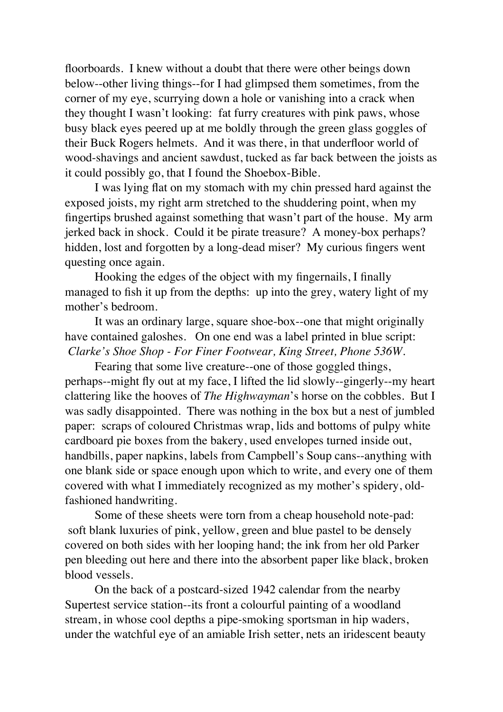floorboards. I knew without a doubt that there were other beings down below--other living things--for I had glimpsed them sometimes, from the corner of my eye, scurrying down a hole or vanishing into a crack when they thought I wasn't looking: fat furry creatures with pink paws, whose busy black eyes peered up at me boldly through the green glass goggles of their Buck Rogers helmets. And it was there, in that underfloor world of wood-shavings and ancient sawdust, tucked as far back between the joists as it could possibly go, that I found the Shoebox-Bible.

I was lying flat on my stomach with my chin pressed hard against the exposed joists, my right arm stretched to the shuddering point, when my fingertips brushed against something that wasn't part of the house. My arm jerked back in shock. Could it be pirate treasure? A money-box perhaps? hidden, lost and forgotten by a long-dead miser? My curious fingers went questing once again.

Hooking the edges of the object with my fingernails, I finally managed to fish it up from the depths: up into the grey, watery light of my mother's bedroom.

It was an ordinary large, square shoe-box--one that might originally have contained galoshes. On one end was a label printed in blue script: *Clarke's Shoe Shop - For Finer Footwear, King Street, Phone 536W*.

Fearing that some live creature--one of those goggled things, perhaps--might fly out at my face, I lifted the lid slowly--gingerly--my heart clattering like the hooves of *The Highwayman*'s horse on the cobbles. But I was sadly disappointed. There was nothing in the box but a nest of jumbled paper: scraps of coloured Christmas wrap, lids and bottoms of pulpy white cardboard pie boxes from the bakery, used envelopes turned inside out, handbills, paper napkins, labels from Campbell's Soup cans--anything with one blank side or space enough upon which to write, and every one of them covered with what I immediately recognized as my mother's spidery, oldfashioned handwriting.

Some of these sheets were torn from a cheap household note-pad: soft blank luxuries of pink, yellow, green and blue pastel to be densely covered on both sides with her looping hand; the ink from her old Parker pen bleeding out here and there into the absorbent paper like black, broken blood vessels.

On the back of a postcard-sized 1942 calendar from the nearby Supertest service station--its front a colourful painting of a woodland stream, in whose cool depths a pipe-smoking sportsman in hip waders, under the watchful eye of an amiable Irish setter, nets an iridescent beauty